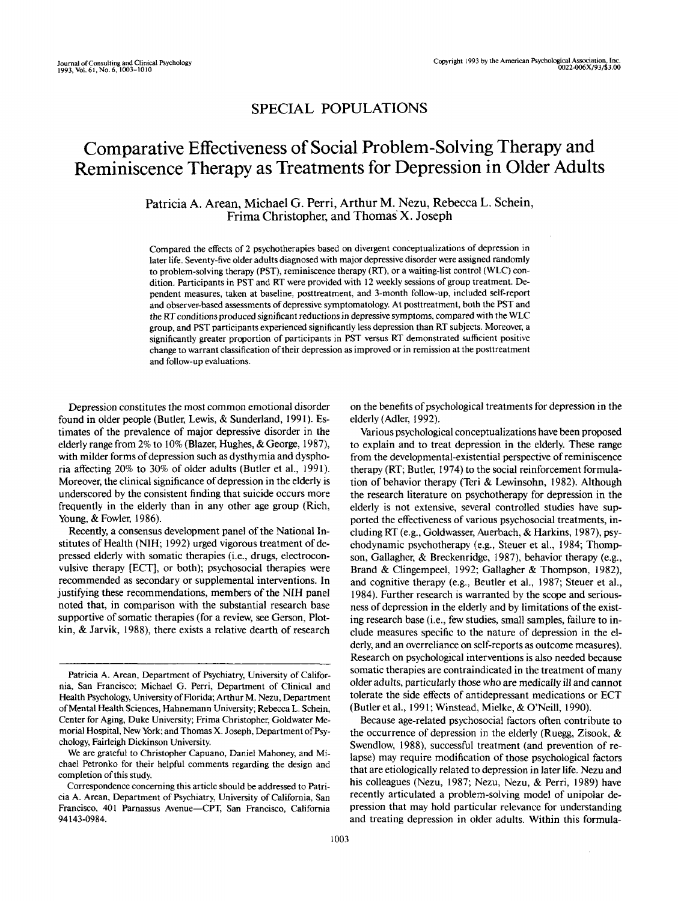## SPECIAL POPULATIONS

# Comparative Effectiveness of Social Problem-Solving Therapy and Reminiscence Therapy as Treatments for Depression in Older Adults

Patricia A. Arean, Michael G. Perri, Arthur M. Nezu, Rebecca L. Schein, Frima Christopher, and Thomas X. Joseph

Compared the effects of 2 psychotherapies based on divergent conceptualizations of depression in later life. Seventy-five older adults diagnosed with major depressive disorder were assigned randomly to problem-solving therapy (PST), reminiscence therapy (RT), or a waiting-list control (WLC) condition. Participants in PST and RT were provided with 12 weekly sessions of group treatment. Dependent measures, taken at baseline, posttreatment, and 3-month follow-up, included self-report and observer-based assessments of depressive symptomatology. At posttreatment, both the PST and the RT conditions produced significant reductions in depressive symptoms, compared with the WLC group, and PST participants experienced significantly less depression than RT subjects. Moreover, a significantly greater proportion of participants in PST versus RT demonstrated sufficient positive change to warrant classification of their depression as improved or in remission at the posttreatment and follow-up evaluations.

Depression constitutes the most common emotional disorder found in older people (Butler, Lewis, & Sunderland, 1991). Estimates of the prevalence of major depressive disorder in the elderly range from 2% to 10% (Blazer, Hughes, & George, 1987), with milder forms of depression such as dysthymia and dysphoria affecting 20% to 30% of older adults (Butler et al., 1991). Moreover, the clinical significance of depression in the elderly is underscored by the consistent finding that suicide occurs more frequently in the elderly than in any other age group (Rich, Young, & Fowler, 1986).

Recently, a consensus development panel of the National Institutes of Health (NIH; 1992) urged vigorous treatment of depressed elderly with somatic therapies (i.e., drugs, electroconvulsive therapy [ECT], or both); psychosocial therapies were recommended as secondary or supplemental interventions. In justifying these recommendations, members of the NIH panel noted that, in comparison with the substantial research base supportive of somatic therapies (for a review, see Gerson, Plotkin, & Jarvik, 1988), there exists a relative dearth of research

on the benefits of psychological treatments for depression in the elderly (Adler, 1992).

Various psychological conceptualizations have been proposed to explain and to treat depression in the elderly. These range from the developmental-existential perspective of reminiscence therapy (RT; Butler, 1974) to the social reinforcement formulation of behavior therapy (Teri & Lewinsohn, 1982). Although the research literature on psychotherapy for depression in the elderly is not extensive, several controlled studies have supported the effectiveness of various psychosocial treatments, including RT (e.g., Goldwasser, Auerbach, & Harkins, 1987), psychodynamic psychotherapy (e.g., Steuer et al., 1984; Thompson, Gallagher, & Breckenridge, 1987), behavior therapy (e.g., Brand & Clingempeel, 1992; Gallagher & Thompson, 1982), and cognitive therapy (e.g., Beutler et al., 1987; Steuer et al., 1984). Further research is warranted by the scope and seriousness of depression in the elderly and by limitations of the existing research base (i.e., few studies, small samples, failure to include measures specific to the nature of depression in the elderly, and an overreliance on self-reports as outcome measures). Research on psychological interventions is also needed because somatic therapies are contraindicated in the treatment of many older adults, particularly those who are medically ill and cannot tolerate the side effects of antidepressant medications or ECT (Butler etal., 1991; Winstead, Mielke, & O'Neill, 1990).

Because age-related psychosocial factors often contribute to the occurrence of depression in the elderly (Ruegg, Zisook, & Swendlow, 1988), successful treatment (and prevention of relapse) may require modification of those psychological factors that are etiologically related to depression in later life. Nezu and his colleagues (Nezu, 1987; Nezu, Nezu, & Perri, 1989) have recently articulated a problem-solving model of unipolar depression that may hold particular relevance for understanding and treating depression in older adults. Within this formula-

Patricia A. Arean, Department of Psychiatry, University of California, San Francisco; Michael G. Perri, Department of Clinical and Health Psychology, University of Florida; Arthur M. Nezu, Department of Mental Health Sciences, Hahnemann University; Rebecca L. Schein, Center for Aging, Duke University; Frima Christopher, Goldwater Memorial Hospital, New York; and Thomas X. Joseph, Department of Psychology, Fairleigh Dickinson University.

We are grateful to Christopher Capuano, Daniel Mahoney, and Michael Petronko for their helpful comments regarding the design and completion of this study.

Correspondence concerning this article should be addressed to Patricia A. Arean, Department of Psychiatry, University of California, San Francisco, 401 Parnassus Avenue—CPT, San Francisco, California 94143-0984.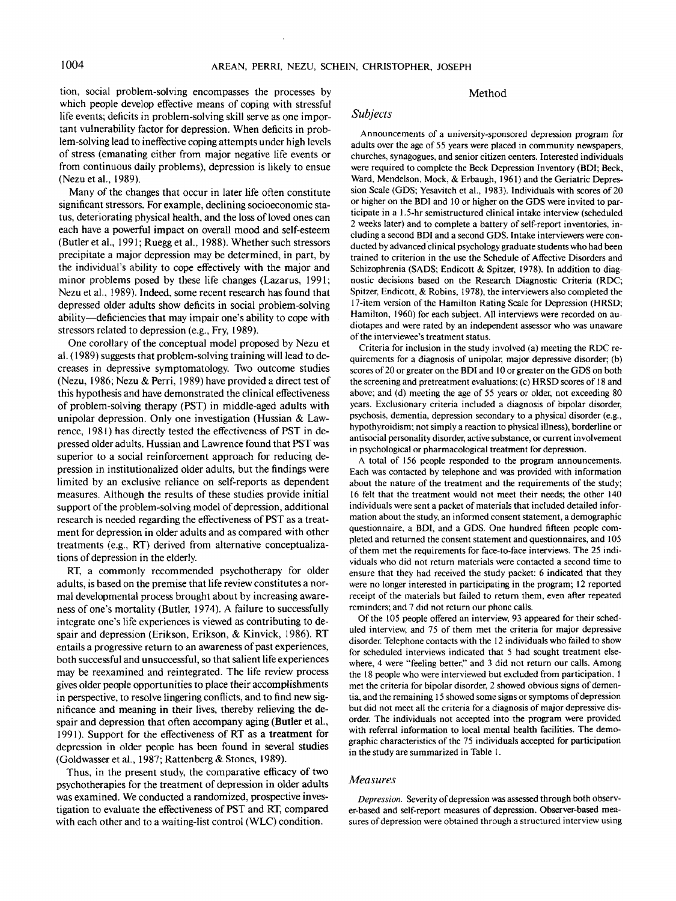tion, social problem-solving encompasses the processes by which people develop effective means of coping with stressful life events; deficits in problem-solving skill serve as one important vulnerability factor for depression. When deficits in problem-solving lead to ineffective coping attempts under high levels of stress (emanating either from major negative life events or from continuous daily problems), depression is likely to ensue (Nezuetal., 1989).

Many of the changes that occur in later life often constitute significant stressors. For example, declining socioeconomic status, deteriorating physical health, and the loss of loved ones can each have a powerful impact on overall mood and self-esteem (Butler et al., 1991; Ruegg et al., 1988). Whether such stressors precipitate a major depression may be determined, in part, by the individual's ability to cope effectively with the major and minor problems posed by these life changes (Lazarus, 1991; Nezu et al., 1989). Indeed, some recent research has found that depressed older adults show deficits in social problem-solving ability—deficiencies that may impair one's ability to cope with stressors related to depression (e.g., Fry, 1989).

One corollary of the conceptual model proposed by Nezu et al. (1989) suggests that problem-solving training will lead to decreases in depressive symptomatology. Two outcome studies (Nezu, 1986; Nezu & Perri, 1989) have provided a direct test of this hypothesis and have demonstrated the clinical effectiveness of problem-solving therapy (PST) in middle-aged adults with unipolar depression. Only one investigation (Hussian & Lawrence, 1981) has directly tested the effectiveness of PST in depressed older adults. Hussian and Lawrence found that PST was superior to a social reinforcement approach for reducing depression in institutionalized older adults, but the findings were limited by an exclusive reliance on self-reports as dependent measures. Although the results of these studies provide initial support of the problem-solving model of depression, additional research is needed regarding the effectiveness of PST as a treatment for depression in older adults and as compared with other treatments (e.g., RT) derived from alternative conceptualizations of depression in the elderly.

RT, a commonly recommended psychotherapy for older adults, is based on the premise that life review constitutes a normal developmental process brought about by increasing awareness of one's mortality (Butler, 1974). A failure to successfully integrate one's life experiences is viewed as contributing to despair and depression (Erikson, Erikson, & Kinvick, 1986). RT entails a progressive return to an awareness of past experiences, both successful and unsuccessful, so that salient life experiences may be reexamined and reintegrated. The life review process gives older people opportunities to place their accomplishments in perspective, to resolve lingering conflicts, and to find new significance and meaning in their lives, thereby relieving the despair and depression that often accompany aging (Butler et al., 1991). Support for the effectiveness of RT as a treatment for depression in older people has been found in several studies (Goldwasser et al., 1987; Rattenberg& Stones, 1989).

Thus, in the present study, the comparative efficacy of two psychotherapies for the treatment of depression in older adults was examined. We conducted a randomized, prospective investigation to evaluate the effectiveness of PST and RT, compared with each other and to a waiting-list control (WLC) condition.

### Method

### *Subjects*

Announcements of a university-sponsored depression program for adults over the age of 55 years were placed in community newspapers, churches, synagogues, and senior citizen centers. Interested individuals were required to complete the Beck Depression Inventory (BDI; Beck, Ward, Mendelson, Mock, & Erbaugh, 1961) and the Geriatric Depression Scale (GDS; Yesavitch et al., 1983). Individuals with scores of 20 or higher on the BDI and 10 or higher on the GDS were invited to participate in a 1.5-hr semistructured clinical intake interview (scheduled 2 weeks later) and to complete a battery of self-report inventories, including a second BDI and a second GDS. Intake interviewers were conducted by advanced clinical psychology graduate students who had been trained to criterion in the use the Schedule of Affective Disorders and Schizophrenia (SADS; Endicott & Spitzer, 1978). In addition to diagnostic decisions based on the Research Diagnostic Criteria (RDC; Spitzer, Endicott, & Robins, 1978), the interviewers also completed the 17-item version of the Hamilton Rating Scale for Depression (HRSD; Hamilton, 1960) for each subject. All interviews were recorded on audiotapes and were rated by an independent assessor who was unaware of the interviewee's treatment status.

Criteria for inclusion in the study involved (a) meeting the RDC requirements for a diagnosis of unipolar, major depressive disorder; (b) scores of 20 or greater on the BDI and 10 or greater on the GDS on both the screening and pretreatment evaluations; (c) HRSD scores of 18 and above; and (d) meeting the age of 55 years or older, not exceeding 80 years. Exclusionary criteria included a diagnosis of bipolar disorder, psychosis, dementia, depression secondary to a physical disorder (e.g., hypothyroidism; not simply a reaction to physical illness), borderline or antisocial personality disorder, active substance, or current involvement in psychological or pharmacological treatment for depression.

A total of 156 people responded to the program announcements. Each was contacted by telephone and was provided with information about the nature of the treatment and the requirements of the study; 16 felt that the treatment would not meet their needs; the other 140 individuals were sent a packet of materials that included detailed information about the study, an informed consent statement, a demographic questionnaire, a BDI, and a GDS. One hundred fifteen people completed and returned the consent statement and questionnaires, and 105 of them met the requirements for face-to-face interviews. The 25 individuals who did not return materials were contacted a second time to ensure that they had received the study packet: 6 indicated that they were no longer interested in participating in the program; 12 reported receipt of the materials but failed to return them, even after repeated reminders; and 7 did not return our phone calls.

Of the 105 people offered an interview, 93 appeared for their scheduled interview, and 75 of them met the criteria for major depressive disorder. Telephone contacts with the 12 individuals who failed to show for scheduled interviews indicated that 5 had sought treatment elsewhere, 4 were "feeling better," and 3 did not return our calls. Among the 18 people who were interviewed but excluded from participation, 1 met the criteria for bipolar disorder, 2 showed obvious signs of dementia, and the remaining 15 showed some signs or symptoms of depression but did not meet all the criteria for a diagnosis of major depressive disorder. The individuals not accepted into the program were provided with referral information to local mental health facilities. The demographic characteristics of the 75 individuals accepted for participation in the study are summarized in Table 1.

#### *Measures*

*Depression.* Severity of depression was assessed through both observer-based and self-report measures of depression. Observer-based measures of depression were obtained through a structured interview using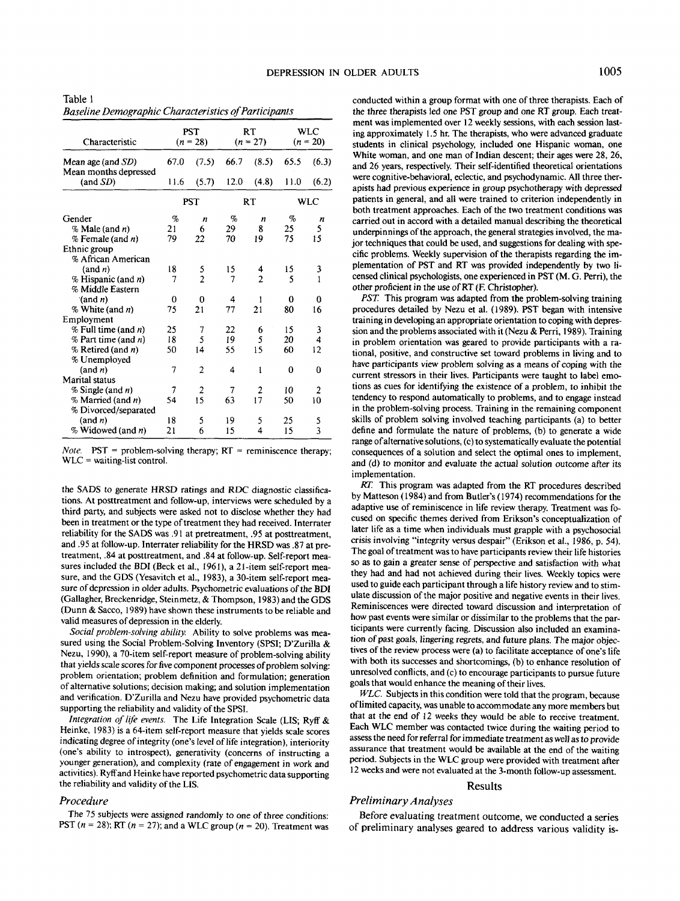| <b>Baseline Demographic Characteristics of Participants</b> |                          |                |                  |                  |                          |        |  |  |  |
|-------------------------------------------------------------|--------------------------|----------------|------------------|------------------|--------------------------|--------|--|--|--|
| Characteristic                                              | <b>PST</b><br>$(n = 28)$ |                | RT<br>$(n = 27)$ |                  | <b>WLC</b><br>$(n = 20)$ |        |  |  |  |
| Mean age (and $SD$ )<br>Mean months depressed               | 67.0                     | (7.5)          | 66.7             | (8.5)            | 65.5                     | (6.3)  |  |  |  |
| (and SD)                                                    | 11.6                     | (5.7)          | 12.0             | (4.8)            | 11.0                     | (6.2)  |  |  |  |
|                                                             | <b>PST</b>               |                | RT               |                  | <b>WLC</b>               |        |  |  |  |
| Gender                                                      | %                        | n              | $\%$             | $\boldsymbol{n}$ | $\%$                     | n      |  |  |  |
| $%$ Male (and <i>n</i> )                                    | 21                       | 6              | 29               | 8                | 25                       | 5      |  |  |  |
| $%$ Female (and <i>n</i> )                                  | 79                       | 22             | 70               | 19               | 75                       | 15     |  |  |  |
| Ethnic group                                                |                          |                |                  |                  |                          |        |  |  |  |
| % African American                                          |                          |                |                  |                  |                          |        |  |  |  |
| (and n)                                                     | 18                       | $\frac{5}{2}$  | 15               | 4                | 15                       | 3      |  |  |  |
| % Hispanic (and <i>n</i> )                                  | 7                        |                | 7                | $\overline{2}$   | 5                        | 1      |  |  |  |
| % Middle Eastern                                            |                          |                |                  |                  |                          |        |  |  |  |
| $\tanh n$                                                   | 0                        | 0              | 4                | 1                | 0                        | 0      |  |  |  |
| % White (and n)                                             | 75                       | 21             | 77               | 21               | 80                       | 16     |  |  |  |
| Employment                                                  |                          |                |                  |                  |                          |        |  |  |  |
| % Full time (and n)                                         | 25                       | 7              | 22               | 6                | 15                       | 3      |  |  |  |
| $%$ Part time (and $n$ )                                    | 18                       | 5              | 19               | 5                | 20                       | 4      |  |  |  |
| % Retired (and n)                                           | 50                       | 14             | 55               | 15               | 60                       | 12     |  |  |  |
| % Unemployed                                                |                          |                |                  |                  |                          |        |  |  |  |
| (and n)                                                     | 7                        | $\overline{2}$ | 4                | l                | 0                        | 0      |  |  |  |
| Marital status                                              |                          |                |                  |                  |                          |        |  |  |  |
| % Single (and n)                                            | 7                        | 2              | 7                | 2                | 10                       | 2      |  |  |  |
| % Married (and n)                                           | 54                       | 15             | 63               | 17               | 50                       | 10     |  |  |  |
| % Divorced/separated                                        |                          |                |                  |                  |                          |        |  |  |  |
| (and n)                                                     | 18                       | 5              | 19               | 5                | 25                       | 5<br>3 |  |  |  |
| % Widowed (and n)                                           | 21                       | 6              | 15               | 4                | 15                       |        |  |  |  |

Table 1

*Note.* PST = problem-solving therapy;  $RT$  = reminiscence therapy; WLC = waiting-list control.

the SADS to generate HRSD ratings and RDC diagnostic classifications. At posttreatment and follow-up, interviews were scheduled by a third party, and subjects were asked not to disclose whether they had been in treatment or the type of treatment they had received. Interrater reliability for the SADS was .91 at pretreatment, .95 at posttreatment, and .95 at follow-up. Interrater reliability for the HRSD was .87 at pretreatment, .84 at posttreatment, and .84 at follow-up. Self-report measures included the BDI (Beck et al., 1961), a 21-item self-report measure, and the CDS (Yesavitch et al., 1983), a 30-item self-report measure of depression in older adults. Psychometric evaluations of the BDI (Gallagher, Breckenridge, Steinmetz, & Thompson, 1983) and the GDS (Dunn & Sacco, 1989) have shown these instruments to be reliable and valid measures of depression in the elderly.

*Social problem-solving ability.* Ability to solve problems was measured using the Social Problem-Solving Inventory (SPSI; D'Zurilla & Nezu, 1990), a 70-item self-report measure of problem-solving ability that yields scale scores for five component processes of problem solving: problem orientation; problem definition and formulation; generation of alternative solutions; decision making; and solution implementation and verification. D'Zurilla and Nezu have provided psychometric data supporting the reliability and validity of the SPSI.

*Integration of life events.* The Life Integration Scale (LIS; Ryff& Heinke, 1983) is a 64-item self-report measure that yields scale scores indicating degree of integrity (one's level of life integration), interiority (one's ability to introspect), generativity (concerns of instructing a younger generation), and complexity (rate of engagement in work and activities). Ryff and Heinke have reported psychometric data supporting the reliability and validity of the LIS.

### *Procedure*

The 75 subjects were assigned randomly to one of three conditions: PST *(n =* 28); RT *(n =* 27); and a WLC group *(n* = 20). Treatment was conducted within a group format with one of three therapists. Each of the three therapists led one PST group and one RT group. Each treatment was implemented over 12 weekly sessions, with each session lasting approximately 1.5 hr. The therapists, who were advanced graduate students in clinical psychology, included one Hispanic woman, one White woman, and one man of Indian descent; their ages were 28, 26, and 26 years, respectively. Their self-identified theoretical orientations were cognitive-behavioral, eclectic, and psychodynamic. All three therapists had previous experience in group psychotherapy with depressed patients in general, and all were trained to criterion independently in both treatment approaches. Each of the two treatment conditions was carried out in accord with a detailed manual describing the theoretical underpinnings of the approach, the general strategies involved, the major techniques that could be used, and suggestions for dealing with specific problems. Weekly supervision of the therapists regarding the implementation of PST and RT was provided independently by two licensed clinical psychologists, one experienced in PST (M. G. Perri), the other proficient in the use of RT (F. Christopher).

*PST.* This program was adapted from the problem-solving training procedures detailed by Nezu et al. (1989). PST began with intensive training in developing an appropriate orientation to coping with depression and the problems associated with it (Nezu & Perri, 1989). Training in problem orientation was geared to provide participants with a rational, positive, and constructive set toward problems in living and to have participants view problem solving as a means of coping with the current stressors in their lives. Participants were taught to label emotions as cues for identifying the existence of a problem, to inhibit the tendency to respond automatically to problems, and to engage instead in the problem-solving process. Training in the remaining component skills of problem solving involved teaching participants (a) to better define and formulate the nature of problems, (b) to generate a wide range of alternative solutions, (c) to systematically evaluate the potential consequences of a solution and select the optimal ones to implement, and (d) to monitor and evaluate the actual solution outcome after its implementation.

*RT.* This program was adapted from the RT procedures described by Matteson (1984) and from Butler's (1974) recommendations for the adaptive use of reminiscence in life review therapy. Treatment was focused on specific themes derived from Erikson's conceptualization of later life as a time when individuals must grapple with a psychosocial crisis involving "integrity versus despair" (Erikson et al., 1986, p. 54). The goal of treatment was to have participants review their life histories so as to gain a greater sense of perspective and satisfaction with what they had and had not achieved during their lives. Weekly topics were used to guide each participant through a life history review and to stimulate discussion of the major positive and negative events in their lives. Reminiscences were directed toward discussion and interpretation of how past events were similar or dissimilar to the problems that the participants were currently facing. Discussion also included an examination of past goals, lingering regrets, and future plans. The major objectives of the review process were (a) to facilitate acceptance of one's life with both its successes and shortcomings, (b) to enhance resolution of unresolved conflicts, and (c) to encourage participants to pursue future goals that would enhance the meaning of their lives.

*WLC.* Subjects in this condition were told that the program, because of limited capacity, was unable to accommodate any more members but that at the end of 12 weeks they would be able to receive treatment. Each WLC member was contacted twice during the waiting period to assess the need for referral for immediate treatment as well as to provide assurance that treatment would be available at the end of the waiting period. Subjects in the WLC group were provided with treatment after 12 weeks and were not evaluated at the 3-month follow-up assessment.

#### Results

### *Preliminary Analyses*

Before evaluating treatment outcome, we conducted a series of preliminary analyses geared to address various validity is-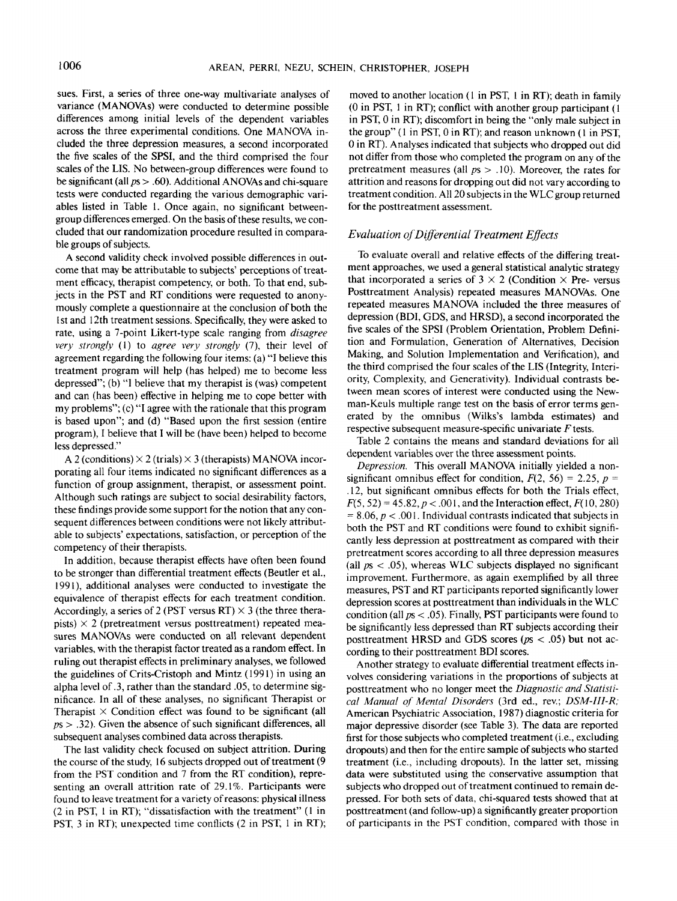sues. First, a series of three one-way multivariate analyses of variance (MANOVAs) were conducted to determine possible differences among initial levels of the dependent variables across the three experimental conditions. One MANOVA included the three depression measures, a second incorporated the five scales of the SPSI, and the third comprised the four scales of the LIS. No between-group differences were found to be significant (all *ps >* .60). Additional ANOVAs and chi-square tests were conducted regarding the various demographic variables listed in Table 1. Once again, no significant betweengroup differences emerged. On the basis of these results, we concluded that our randomization procedure resulted in comparable groups of subjects.

A second validity check involved possible differences in outcome that may be attributable to subjects' perceptions of treatment efficacy, therapist competency, or both. To that end, subjects in the PST and RT conditions were requested to anonymously complete a questionnaire at the conclusion of both the 1 st and 12th treatment sessions. Specifically, they were asked to rate, using a 7-point Likert-type scale ranging from *disagree very strongly* (1) to *agree very strongly* (7), their level of agreement regarding the following four items: (a) "I believe this treatment program will help (has helped) me to become less depressed"; (b) "I believe that my therapist is (was) competent and can (has been) effective in helping me to cope better with my problems"; (c) "I agree with the rationale that this program is based upon"; and (d) "Based upon the first session (entire program), I believe that I will be (have been) helped to become less depressed."

A 2 (conditions)  $\times$  2 (trials)  $\times$  3 (therapists) MANOVA incorporating all four items indicated no significant differences as a function of group assignment, therapist, or assessment point. Although such ratings are subject to social desirability factors, these findings provide some support for the notion that any consequent differences between conditions were not likely attributable to subjects' expectations, satisfaction, or perception of the competency of their therapists.

In addition, because therapist effects have often been found to be stronger than differential treatment effects (Beutler et al, 1991), additional analyses were conducted to investigate the equivalence of therapist effects for each treatment condition. Accordingly, a series of 2 (PST versus RT)  $\times$  3 (the three therapists)  $\times$  2 (pretreatment versus posttreatment) repeated measures MANOVAs were conducted on all relevant dependent variables, with the therapist factor treated as a random effect. In ruling out therapist effects in preliminary analyses, we followed the guidelines of Crits-Cristoph and Mintz (1991) in using an alpha level of .3, rather than the standard .05, to determine significance. In all of these analyses, no significant Therapist or Therapist  $\times$  Condition effect was found to be significant (all ps *>* .32). Given the absence of such significant differences, all subsequent analyses combined data across therapists.

The last validity check focused on subject attrition. During the course of the study, 16 subjects dropped out of treatment (9 from the PST condition and 7 from the RT condition), representing an overall attrition rate of 29.1%. Participants were found to leave treatment for a variety of reasons: physical illness (2 in PST, 1 in RT); "dissatisfaction with the treatment" (1 in PST, 3 in RT); unexpected time conflicts (2 in PST, 1 in RT);

moved to another location (1 in PST, 1 in RT); death in family (0 in PST, 1 in RT); conflict with another group participant (1 in PST, 0 in RT); discomfort in being the "only male subject in the group" (1 in PST, 0 in RT); and reason unknown (1 in PST, 0 in RT). Analyses indicated that subjects who dropped out did not differ from those who completed the program on any of the pretreatment measures (all *ps >* .10). Moreover, the rates for attrition and reasons for dropping out did not vary according to treatment condition. All 20 subjects in the WLC group returned for the posttreatment assessment.

### *Evaluation of Differential Treatment Effects*

To evaluate overall and relative effects of the differing treatment approaches, we used a general statistical analytic strategy that incorporated a series of  $3 \times 2$  (Condition  $\times$  Pre- versus Posttreatment Analysis) repeated measures MANOVAs. One repeated measures MANOVA included the three measures of depression (BDI, GDS, and HRSD), a second incorporated the five scales of the SPSI (Problem Orientation, Problem Definition and Formulation, Generation of Alternatives, Decision Making, and Solution Implementation and Verification), and the third comprised the four scales of the LIS (Integrity, Interiority, Complexity, and Generativity). Individual contrasts between mean scores of interest were conducted using the Newman-Keuls multiple range test on the basis of error terms generated by the omnibus (Wilks's lambda estimates) and respective subsequent measure-specific univariate *F* tests.

Table 2 contains the means and standard deviations for all dependent variables over the three assessment points.

*Depression.* This overall MANOVA initially yielded a nonsignificant omnibus effect for condition,  $F(2, 56) = 2.25$ ,  $p =$ .12, but significant omnibus effects for both the Trials effect,  $F(5, 52) = 45.82, p < .001$ , and the Interaction effect,  $F(10, 280)$ = 8.06, *p <* .001. Individual contrasts indicated that subjects in both the PST and RT conditions were found to exhibit significantly less depression at posttreatment as compared with their pretreatment scores according to all three depression measures (all  $ps < .05$ ), whereas WLC subjects displayed no significant improvement. Furthermore, as again exemplified by all three measures, PST and RT participants reported significantly lower depression scores at posttreatment than individuals in the WLC condition (all *ps <* .05). Finally, PST participants were found to be significantly less depressed than RT subjects according their posttreatment HRSD and GDS scores *(ps <* .05) but not according to their posttreatment BDI scores.

Another strategy to evaluate differential treatment effects involves considering variations in the proportions of subjects at posttreatment who no longer meet the *Diagnostic and Statistical Manual of Mental Disorders* (3rd ed., rev.; *DSM-III-R;* American Psychiatric Association, 1987) diagnostic criteria for major depressive disorder (see Table 3). The data are reported first for those subjects who completed treatment (i.e., excluding dropouts) and then for the entire sample of subjects who started treatment (i.e., including dropouts). In the latter set, missing data were substituted using the conservative assumption that subjects who dropped out of treatment continued to remain depressed. For both sets of data, chi-squared tests showed that at posttreatment (and follow-up) a significantly greater proportion of participants in the PST condition, compared with those in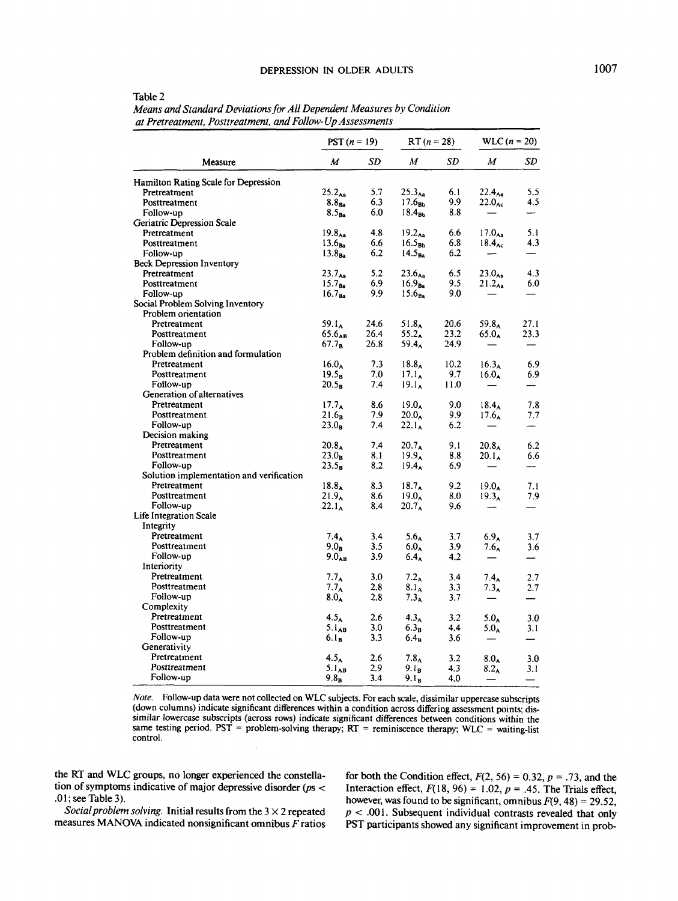| ı.<br>٠<br>л<br>я<br>г<br>u |
|-----------------------------|
|-----------------------------|

*Means and Standard Deviations for All Dependent Measures by Condition at Pretreatment, Posttreatment, and Follow-Up Assessments*

|                                          | <b>PST</b> $(n = 19)$ |      | $RT(n = 28)$       |      | $WLC (n = 20)$           |                          |
|------------------------------------------|-----------------------|------|--------------------|------|--------------------------|--------------------------|
| Measure                                  | M                     | SD   | $\boldsymbol{M}$   | SD   | $\boldsymbol{M}$         | SD                       |
| Hamilton Rating Scale for Depression     |                       |      |                    |      |                          |                          |
| Pretreatment                             | $25.2_{\text{Aa}}$    | 5.7  | $25.3_{\text{Aa}}$ | 6.1  | $22.4_{\text{Aa}}$       | 5.5                      |
| Posttreatment                            | 8.8 <sub>Ba</sub>     | 6.3  | 17.6 <sub>Br</sub> | 9.9  | $22.0_{Ac}$              | 4.5                      |
| Follow-up                                | 8.5 <sub>Ba</sub>     | 6.0  | 18.4 <sub>bb</sub> | 8.8  |                          |                          |
| Geriatric Depression Scale               |                       |      |                    |      |                          |                          |
| Pretreatment                             | $19.8_{\text{Aa}}$    | 4.8  | $19.2_{\text{Aa}}$ | 6.6  | 17.0 <sub>AA</sub>       | 5.1                      |
| Posttreatment                            | 13.6 <sub>Ba</sub>    | 6.6  | 16.5 <sub>Br</sub> | 6.8  | $18.4_{Ac}$              | 4.3                      |
| Follow-up                                | 13.8 <sub>Ba</sub>    | 6.2  | 14.5 <sub>Pa</sub> | 6.2  |                          |                          |
| <b>Beck Depression Inventory</b>         |                       |      |                    |      |                          |                          |
| Pretreatment                             | $23.7_{A2}$           | 5.2  | $23.6_{\text{Aa}}$ | 6.5  | $23.0_{\text{Aa}}$       | 4.3                      |
| Posttreatment                            | 15.7 <sub>Ba</sub>    | 6.9  | 16.9 <sub>Ba</sub> | 9.5  | $21.2_{\text{Aa}}$       | 6.0                      |
| Follow-up                                | $16.7_{Ba}$           | 9.9  | 15.6 <sub>Ba</sub> | 9.0  |                          |                          |
| Social Problem Solving Inventory         |                       |      |                    |      |                          |                          |
| Problem orientation                      |                       |      |                    |      |                          |                          |
| Pretreatment                             | $59.1_A$              | 24.6 | $51.8_A$           | 20.6 | $59.8_A$                 | 27.1                     |
| Posttreatment                            | $65.6_{AB}$           | 26.4 | $55.2_A$           | 23.2 | $65.0_A$                 | 23.3                     |
| Follow-up                                | 67.7 <sub>B</sub>     | 26.8 | 59.4 <sub>A</sub>  | 24.9 |                          |                          |
| Problem definition and formulation       |                       |      |                    |      |                          |                          |
| Pretreatment                             | $16.0_A$              | 7.3  | 18.8 <sub>A</sub>  | 10.2 | 16.3 <sub>A</sub>        | 6.9                      |
| Posttreatment                            | 19.5 <sub>B</sub>     | 7.0  | $17.1_A$           | 9.7  | $16.0_A$                 | 6.9                      |
| Follow-up                                | $20.5_B$              | 7.4  | $19.1_A$           | 11.0 | $\overline{\phantom{0}}$ | $\overline{\phantom{0}}$ |
| Generation of alternatives               |                       |      |                    |      |                          |                          |
| Pretreatment                             | 17.7 <sub>A</sub>     | 8.6  | 19.0 <sub>A</sub>  | 9.0  |                          | 7.8                      |
| Posttreatment                            | $21.6_B$              | 7.9  | $20.0_A$           |      | 18.4 <sub>A</sub>        | 7.7                      |
|                                          |                       |      |                    | 9.9  | 17.6 <sub>A</sub>        |                          |
| Follow-up<br>Decision making             | $23.0_B$              | 7.4  | $22.1_A$           | 6.2  |                          |                          |
|                                          |                       |      |                    |      |                          |                          |
| Pretreatment                             | $20.8_A$              | 7.4  | 20.7 <sub>A</sub>  | 9.1  | $20.8_A$                 | 6.2                      |
| Posttreatment                            | 23.0 <sub>B</sub>     | 8.1  | 19.9 <sub>A</sub>  | 8.8  | $20.1_A$                 | 6.6                      |
| Follow-up                                | $23.5_B$              | 8.2  | $19.4_{\text{A}}$  | 6.9  |                          |                          |
| Solution implementation and verification |                       |      |                    |      |                          |                          |
| Pretreatment                             | $18.8_A$              | 8.3  | 18.7 <sub>A</sub>  | 9.2  | $19.0_A$                 | 7.1                      |
| Posttreatment                            | 21.9 <sub>A</sub>     | 8.6  | $19.0_{\text{A}}$  | 8.0  | 19.3 <sub>A</sub>        | 7.9                      |
| Follow-up                                | $22.1_A$              | 8.4  | $20.7_A$           | 9.6  |                          |                          |
| Life Integration Scale                   |                       |      |                    |      |                          |                          |
| Integrity                                |                       |      |                    |      |                          |                          |
| Pretreatment                             | 7.4 <sub>A</sub>      | 3.4  | 5.6 <sub>A</sub>   | 3.7  | $6.9_A$                  | 3.7                      |
| Posttreatment                            | 9.0 <sub>n</sub>      | 3.5  | 6.0 <sub>A</sub>   | 3.9  | 7.6 <sub>A</sub>         | 3.6                      |
| Follow-up                                | $9.0_{AB}$            | 3.9  | 6.4 <sub>A</sub>   | 4.2  |                          |                          |
| Interiority                              |                       |      |                    |      |                          |                          |
| Pretreatment                             | $7.7_A$               | 3.0  | $7.2_A$            | 3.4  | 7.4 <sub>A</sub>         | 2.7                      |
| Posttreatment                            | 7.7 <sub>A</sub>      | 2.8  | $8.1_A$            | 3.3  | 7.3 <sub>A</sub>         | 2.7                      |
| Follow-up                                | $8.0_A$               | 2.8  | $7.3_A$            | 3.7  |                          |                          |
| Complexity                               |                       |      |                    |      |                          |                          |
| Pretreatment                             | 4.5 <sub>A</sub>      | 2.6  | 4.3 <sub>A</sub>   | 3.2  | 5.0 <sub>A</sub>         | 3.0                      |
| Posttreatment                            | $5.1_{AB}$            | 3.0  | 6.3 <sub>B</sub>   | 4,4  | 5.0 <sub>A</sub>         | 3.1                      |
| Follow-up                                | 6.1 <sub>B</sub>      | 3.3  | 6.4 <sub>n</sub>   | 3.6  | $\qquad \qquad$          | $\overline{\phantom{0}}$ |
| Generativity                             |                       |      |                    |      |                          |                          |
| Pretreatment                             | 4.5 <sub>A</sub>      | 2.6  | 7.8 <sub>A</sub>   | 3.2  | $8.0_A$                  | 3.0                      |
| Posttreatment                            | $5.1_{AB}$            | 2.9  | 9.1 <sub>B</sub>   | 4.3  | $8.2_A$                  | 3.1                      |
| Follow-up                                | $9.8_B$               | 3.4  | 9.1 <sub>B</sub>   | 4.0  |                          |                          |

*Note.* Follow-up data were not collected on WLC subjects. For each scale, dissimilar uppercase subscripts (down columns) indicate significant differences within a condition across differing assessment points; dissimilar lowercase subscripts (across rows) indicate significant differences between conditions within the same testing period.  $PST$  = problem-solving therapy;  $RT$  = reminiscence therapy;  $WLC$  = waiting-list control.

the RT and WLC groups, no longer experienced the constellation of symptoms indicative of major depressive disorder *(ps <* .01; see Table 3).

*Social problem solving.* Initial results from the  $3 \times 2$  repeated measures MANOVA indicated nonsignificant omnibus *F* ratios

for both the Condition effect,  $F(2, 56) = 0.32$ ,  $p = .73$ , and the Interaction effect,  $F(18, 96) = 1.02$ ,  $p = .45$ . The Trials effect, however, was found to be significant, omnibus  $F(9, 48) = 29.52$ , *p <* .001. Subsequent individual contrasts revealed that only PST participants showed any significant improvement in prob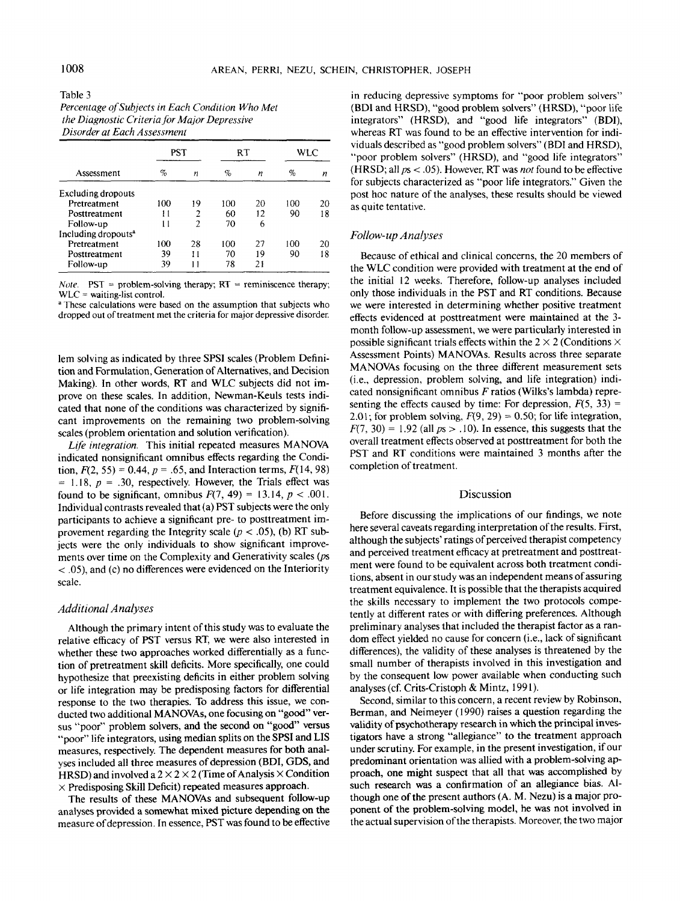Table 3 *Percentage of Subjects in Each Condition Who Met the Diagnostic Criteria for Major Depressive Disorder at Each Assessment*

| Assessment                      | PST  |    | RT   |    | WLC |    |
|---------------------------------|------|----|------|----|-----|----|
|                                 | $\%$ | n  | $\%$ | n  | %   | n  |
| Excluding dropouts              |      |    |      |    |     |    |
| Pretreatment                    | 100  | 19 | 100  | 20 | 100 | 20 |
| Posttreatment                   | 11   | 2  | 60   | 12 | 90  | 18 |
| Follow-up                       | 11   | 2  | 70   | 6  |     |    |
| Including dropouts <sup>a</sup> |      |    |      |    |     |    |
| Pretreatment                    | 100  | 28 | 100  | 27 | 100 | 20 |
| Posttreatment                   | 39   | 11 | 70   | 19 | 90  | 18 |
| Follow-up                       | 39   | 11 | 78   | 21 |     |    |

*Note.*  $PST =$  problem-solving therapy;  $RT =$  reminiscence therapy; WLC = waiting-list control.

<sup>a</sup> These calculations were based on the assumption that subjects who dropped out of treatment met the criteria for major depressive disorder.

lem solving as indicated by three SPSI scales (Problem Definition and Formulation, Generation of Alternatives, and Decision Making). In other words, RT and WLC subjects did not improve on these scales. In addition, Newman-Keuls tests indicated that none of the conditions was characterized by significant improvements on the remaining two problem-solving scales (problem orientation and solution verification).

*Life integration.* This initial repeated measures MANOVA indicated nonsignificant omnibus effects regarding the Condition,  $F(2, 55) = 0.44$ ,  $p = .65$ , and Interaction terms,  $F(14, 98)$  $= 1.18$ ,  $p = .30$ , respectively. However, the Trials effect was found to be significant, omnibus  $F(7, 49) = 13.14, p < .001$ . Individual contrasts revealed that (a) PST subjects were the only participants to achieve a significant pre- to posttreatment improvement regarding the Integrity scale *(p <* .05), (b) RT subjects were the only individuals to show significant improvements over time on the Complexity and Generativity scales *(ps <* .05), and (c) no differences were evidenced on the Interiority scale.

### *Additional Analyses*

Although the primary intent of this study was to evaluate the relative efficacy of PST versus RT, we were also interested in whether these two approaches worked differentially as a function of pretreatment skill deficits. More specifically, one could hypothesize that preexisting deficits in either problem solving or life integration may be predisposing factors for differential response to the two therapies. To address this issue, we conducted two additional MANOVAs, one focusing on "good" versus "poor" problem solvers, and the second on "good" versus "poor" life integrators, using median splits on the SPSI and LIS measures, respectively. The dependent measures for both analyses included all three measures of depression (BDI, GDS, and HRSD) and involved a  $2 \times 2 \times 2$  (Time of Analysis  $\times$  Condition  $\times$  Predisposing Skill Deficit) repeated measures approach.

The results of these MANOVAs and subsequent follow-up analyses provided a somewhat mixed picture depending on the measure of depression. In essence, PST was found to be effective

in reducing depressive symptoms for "poor problem solvers" (BDI and HRSD), "good problem solvers" (HRSD), "poor life integrators" (HRSD), and "good life integrators" (BDI), whereas RT was found to be an effective intervention for individuals described as "good problem solvers" (BDI and HRSD), "poor problem solvers" (HRSD), and "good life integrators" (HRSD; all *ps* < .05). However, RT was *not* found to be effective for subjects characterized as "poor life integrators." Given the post hoc nature of the analyses, these results should be viewed as quite tentative.

### *Follow-up Analyses*

Because of ethical and clinical concerns, the 20 members of the WLC condition were provided with treatment at the end of the initial 12 weeks. Therefore, follow-up analyses included only those individuals in the PST and RT conditions. Because we were interested in determining whether positive treatment effects evidenced at posttreatment were maintained at the 3 month follow-up assessment, we were particularly interested in possible significant trials effects within the  $2 \times 2$  (Conditions  $\times$ Assessment Points) MANOVAs. Results across three separate MANOVAs focusing on the three different measurement sets (i.e., depression, problem solving, and life integration) indicated nonsignificant omnibus *F* ratios (Wilks's lambda) representing the effects caused by time: For depression,  $F(5, 33) =$ 2.01; for problem solving,  $F(9, 29) = 0.50$ ; for life integration,  $F(7, 30) = 1.92$  (all  $ps > .10$ ). In essence, this suggests that the overall treatment effects observed at posttreatment for both the PST and RT conditions were maintained 3 months after the completion of treatment.

### Discussion

Before discussing the implications of our findings, we note here several caveats regarding interpretation of the results. First, although the subjects' ratings of perceived therapist competency and perceived treatment efficacy at pretreatment and posttreatment were found to be equivalent across both treatment conditions, absent in our study was an independent means of assuring treatment equivalence. It is possible that the therapists acquired the skills necessary to implement the two protocols competently at different rates or with differing preferences. Although preliminary analyses that included the therapist factor as a random effect yielded no cause for concern (i.e., lack of significant differences), the validity of these analyses is threatened by the small number of therapists involved in this investigation and by the consequent low power available when conducting such analyses (cf. Crits-Cristoph & Mintz, 1991).

Second, similar to this concern, a recent review by Robinson, Berman, and Neimeyer (1990) raises a question regarding the validity of psychotherapy research in which the principal investigators have a strong "allegiance" to the treatment approach under scrutiny. For example, in the present investigation, if our predominant orientation was allied with a problem-solving approach, one might suspect that all that was accomplished by such research was a confirmation of an allegiance bias. Although one of the present authors (A. M. Nezu) is a major proponent of the problem-solving model, he was not involved in the actual supervision of the therapists. Moreover, the two major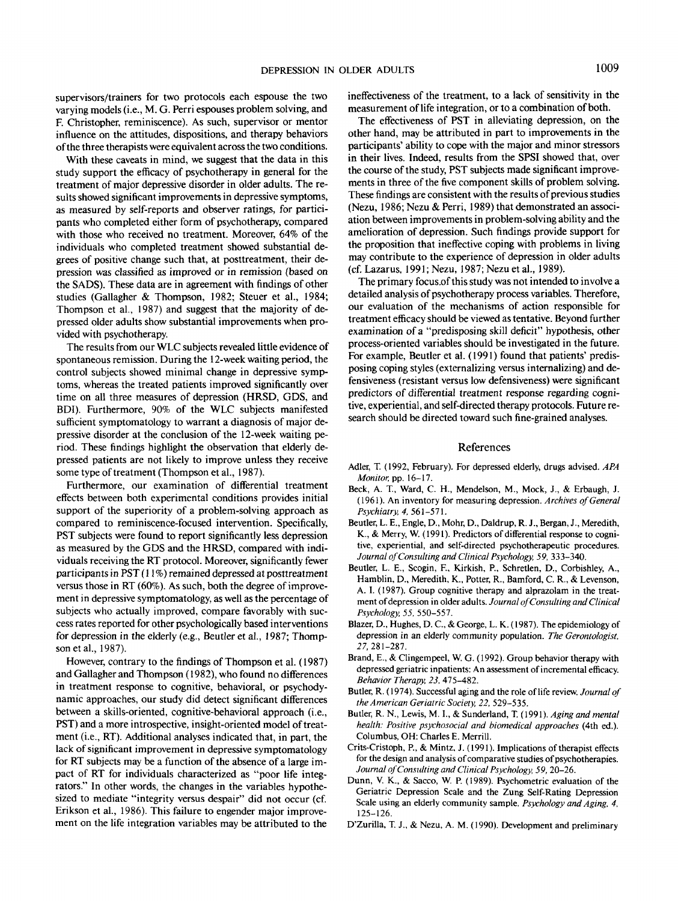supervisors/trainers for two protocols each espouse the two varying models (i.e., M. G. Perri espouses problem solving, and F. Christopher, reminiscence). As such, supervisor or mentor influence on the attitudes, dispositions, and therapy behaviors of the three therapists were equivalent across the two conditions.

With these caveats in mind, we suggest that the data in this study support the efficacy of psychotherapy in general for the treatment of major depressive disorder in older adults. The results showed significant improvements in depressive symptoms, as measured by self-reports and observer ratings, for participants who completed either form of psychotherapy, compared with those who received no treatment. Moreover, 64% of the individuals who completed treatment showed substantial degrees of positive change such that, at posttreatment, their depression was classified as improved or in remission (based on the SADS). These data are in agreement with findings of other studies (Gallagher & Thompson, 1982; Steuer et al., 1984; Thompson et al., 1987) and suggest that the majority of depressed older adults show substantial improvements when provided with psychotherapy.

The results from our WLC subjects revealed little evidence of spontaneous remission. During the 12-week waiting period, the control subjects showed minimal change in depressive symptoms, whereas the treated patients improved significantly over time on all three measures of depression (HRSD, GDS, and BDI). Furthermore, 90% of the WLC subjects manifested sufficient symptomatology to warrant a diagnosis of major depressive disorder at the conclusion of the 12-week waiting period. These findings highlight the observation that elderly depressed patients are not likely to improve unless they receive some type of treatment (Thompson et al., 1987).

Furthermore, our examination of differential treatment effects between both experimental conditions provides initial support of the superiority of a problem-solving approach as compared to reminiscence-focused intervention. Specifically, PST subjects were found to report significantly less depression as measured by the GDS and the HRSD, compared with individuals receiving the RT protocol. Moreover, significantly fewer participants in PST (11%) remained depressed at posttreatment versus those in RT (60%). As such, both the degree of improvement in depressive symptomatology, as well as the percentage of subjects who actually improved, compare favorably with success rates reported for other psychologically based interventions for depression in the elderly (e.g., Beutler et al., 1987; Thompson etal., 1987).

However, contrary to the findings of Thompson et al. (1987) and Gallagher and Thompson (1982), who found no differences in treatment response to cognitive, behavioral, or psychodynamic approaches, our study did detect significant differences between a skills-oriented, cognitive-behavioral approach (i.e., PST) and a more introspective, insight-oriented model of treatment (i.e., RT). Additional analyses indicated that, in part, the lack of significant improvement in depressive symptomatology for RT subjects may be a function of the absence of a large impact of RT for individuals characterized as "poor life integrators." In other words, the changes in the variables hypothesized to mediate "integrity versus despair" did not occur (cf. Erikson et al., 1986). This failure to engender major improvement on the life integration variables may be attributed to the ineffectiveness of the treatment, to a lack of sensitivity in the measurement of life integration, or to a combination of both.

The effectiveness of PST in alleviating depression, on the other hand, may be attributed in part to improvements in the participants' ability to cope with the major and minor stressors in their lives. Indeed, results from the SPSI showed that, over the course of the study, PST subjects made significant improvements in three of the five component skills of problem solving. These findings are consistent with the results of previous studies (Nezu, 1986; Nezu& Perri, 1989) that demonstrated an association between improvements in problem-solving ability and the amelioration of depression. Such findings provide support for the proposition that ineffective coping with problems in living may contribute to the experience of depression in older adults (cf. Lazarus, 1991; Nezu, 1987; Nezu etal., 1989).

The primary focus.of this study was not intended to involve a detailed analysis of psychotherapy process variables. Therefore, our evaluation of the mechanisms of action responsible for treatment efficacy should be viewed as tentative. Beyond further examination of a "predisposing skill deficit" hypothesis, other process-oriented variables should be investigated in the future. For example, Beutler et al. (1991) found that patients' predisposing coping styles (externalizing versus internalizing) and defensiveness (resistant versus low defensiveness) were significant predictors of differential treatment response regarding cognitive, experiential, and self-directed therapy protocols. Future research should be directed toward such fine-grained analyses.

### References

- Adler, T. (1992, February). For depressed elderly, drugs advised. *APA Monitor,* pp. 16-17.
- Beck, A. T., Ward, C. H., Mendelson, M., Mock, J., & Erbaugh, J. (1961). An inventory for measuring depression. *Archives of General Psychiatry, 4,* 561-571.
- Beutler, L. E., Engle, D., Mohr, D., Daldrup, R. J., Bergan, J., Meredith, K.., & Merry, W. (1991). Predictors of differential response to cognitive, experiential, and self-directed psychotherapeutic procedures. *Journal of Consulting and Clinical Psychology, 59,* 333-340.
- Beutler, L. E., Scogin, E, Kirkish, P., Schretlen, D., Corbishley, A., Hamblin, D., Meredith, K., Potter, R., Bamford, C. R., & Levenson, A. I. (1987). Group cognitive therapy and alprazolam in the treatment of depression in older adults. *Journal of Consulting and Clinical Psychology, 55,* 550-557.
- Blazer, D., Hughes, D. C., & George, L. K. (1987). The epidemiology of depression in an elderly community population. *The Gerontologist,* 27,281-287.
- Brand, E., *&* Clingempeel, W. G. (1992). Group behavior therapy with depressed geriatric inpatients: An assessment of incremental efficacy. *Behavior Therapy, 23,* 475-482.
- Butler, R. (1974). Successful aging and the role of life review. *Journal of the American Geriatric Society, 22,* 529-535.
- Butler, R. N., Lewis, M. L, & Sunderland, T. (1991). *Aging and mental health: Positive psychosocial and biomedical approaches* (4th ed.). Columbus, OH: Charles E. Merrill.
- Crits-Cristoph, P., & Mintz, J. (1991). Implications of therapist effects for the design and analysis of comparative studies of psychotherapies. *Journal of Consulting and Clinical Psychology, 59,* 20-26.
- Dunn, V. K., & Sacco, W. P. (1989). Psychometric evaluation of the Geriatric Depression Scale and the Zung Self-Rating Depression Scale using an elderly community sample. *Psychology and Aging, 4,* 125-126.
- D'Zurilla, T. J., & Nezu, A. M. (1990). Development and preliminary